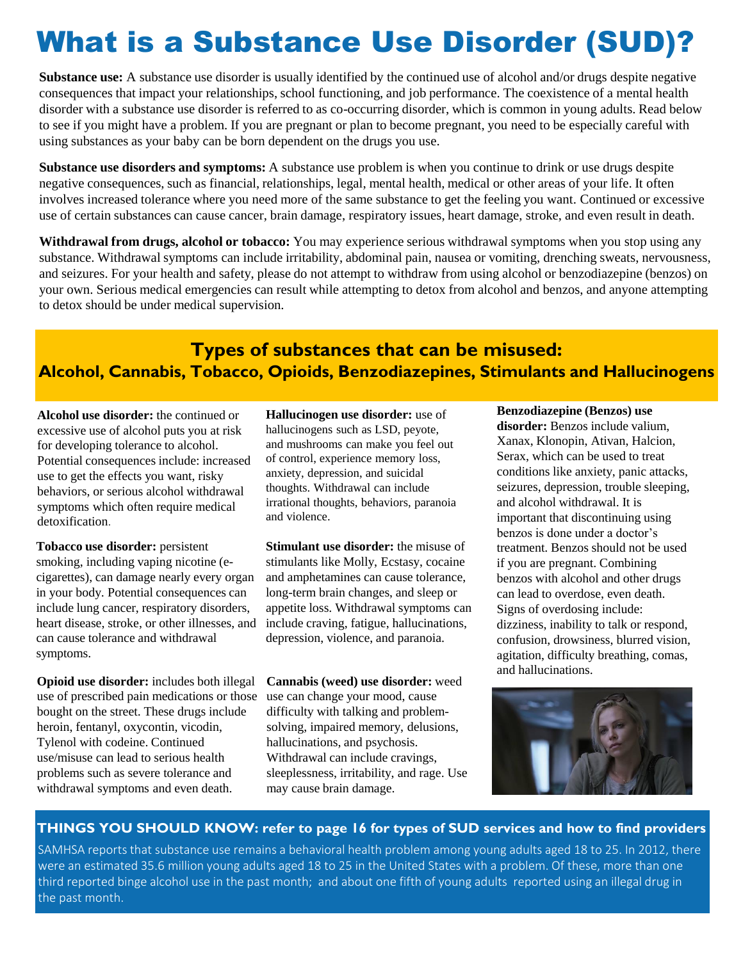# What is a Substance Use Disorder (SUD)?

**Substance use:** A substance use disorder is usually identified by the continued use of alcohol and/or drugs despite negative consequences that impact your relationships, school functioning, and job performance. The coexistence of a mental health disorder with a substance use disorder is referred to as co-occurring disorder, which is common in young adults. Read below to see if you might have a problem. If you are pregnant or plan to become pregnant, you need to be especially careful with using substances as your baby can be born dependent on the drugs you use.

**Substance use disorders and symptoms:** A substance use problem is when you continue to drink or use drugs despite negative consequences, such as financial, relationships, legal, mental health, medical or other areas of your life. It often involves increased tolerance where you need more of the same substance to get the feeling you want. Continued or excessive use of certain substances can cause cancer, brain damage, respiratory issues, heart damage, stroke, and even result in death.

**Withdrawal from drugs, alcohol or tobacco:** You may experience serious withdrawal symptoms when you stop using any substance. Withdrawal symptoms can include irritability, abdominal pain, nausea or vomiting, drenching sweats, nervousness, and seizures. For your health and safety, please do not attempt to withdraw from using alcohol or benzodiazepine (benzos) on your own. Serious medical emergencies can result while attempting to detox from alcohol and benzos, and anyone attempting to detox should be under medical supervision.

## **Types of substances that can be misused: Alcohol, Cannabis, Tobacco, Opioids, Benzodiazepines, Stimulants and Hallucinogens**

**Alcohol use disorder:** the continued or excessive use of alcohol puts you at risk for developing tolerance to alcohol. Potential consequences include: increased use to get the effects you want, risky behaviors, or serious alcohol withdrawal symptoms which often require medical detoxification.

**Tobacco use disorder:** persistent smoking, including vaping nicotine (ecigarettes), can damage nearly every organ in your body. Potential consequences can include lung cancer, respiratory disorders, heart disease, stroke, or other illnesses, and can cause tolerance and withdrawal symptoms.

**Opioid use disorder:** includes both illegal use of prescribed pain medications or those bought on the street. These drugs include heroin, fentanyl, oxycontin, vicodin, Tylenol with codeine. Continued use/misuse can lead to serious health problems such as severe tolerance and withdrawal symptoms and even death.

**Hallucinogen use disorder:** use of hallucinogens such as LSD, peyote, and mushrooms can make you feel out of control, experience memory loss, anxiety, depression, and suicidal thoughts. Withdrawal can include irrational thoughts, behaviors, paranoia and violence.

**Stimulant use disorder:** the misuse of stimulants like Molly, Ecstasy, cocaine and amphetamines can cause tolerance, long-term brain changes, and sleep or appetite loss. Withdrawal symptoms can include craving, fatigue, hallucinations, depression, violence, and paranoia.

**Cannabis (weed) use disorder:** weed use can change your mood, cause difficulty with talking and problemsolving, impaired memory, delusions, hallucinations, and psychosis. Withdrawal can include cravings, sleeplessness, irritability, and rage. Use may cause brain damage.

#### **Benzodiazepine (Benzos) use disorder:** Benzos include valium, Xanax, Klonopin, Ativan, Halcion, Serax, which can be used to treat conditions like anxiety, panic attacks, seizures, depression, trouble sleeping, and alcohol withdrawal. It is important that discontinuing using benzos is done under a doctor's treatment. Benzos should not be used if you are pregnant. Combining benzos with alcohol and other drugs can lead to overdose, even death. Signs of overdosing include: dizziness, inability to talk or respond, confusion, drowsiness, blurred vision, agitation, difficulty breathing, comas, and hallucinations.



## **THINGS YOU SHOULD KNOW: refer to page 16 for types of SUD services and how to find providers**

SAMHSA reports that substance use remains a behavioral health problem among young adults aged 18 to 25. In 2012, there were an estimated 35.6 million young adults aged 18 to 25 in the United States with a problem. Of these, more than one third reported binge alcohol use in the past month; and about one fifth of young adults reported using an illegal drug in the past month.